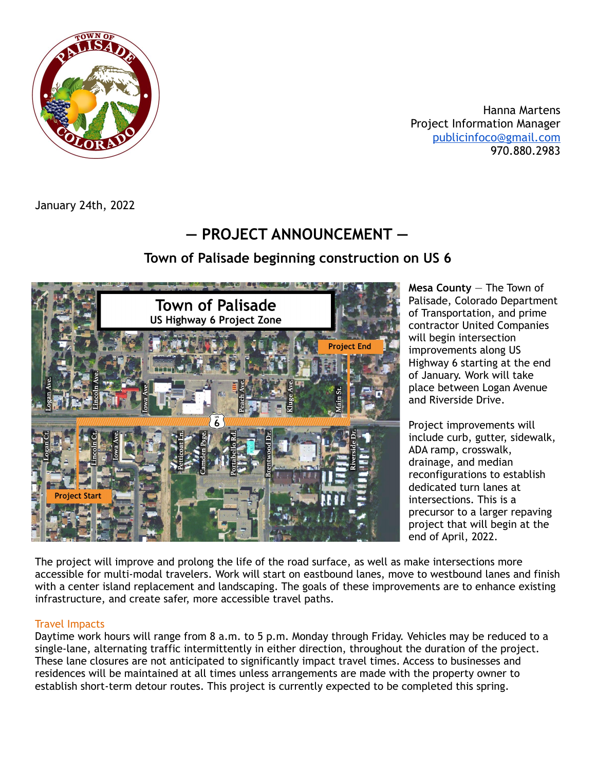

Hanna Martens Project Information Manager [publicinfoco@gmail.com](mailto:publicinfoco@gmail.com) 970.880.2983

January 24th, 2022

## **— PROJECT ANNOUNCEMENT —**

## **Town of Palisade beginning construction on US 6**



**Mesa County** — The Town of Palisade, Colorado Department of Transportation, and prime contractor United Companies will begin intersection improvements along US Highway 6 starting at the end of January. Work will take place between Logan Avenue and Riverside Drive.

Project improvements will include curb, gutter, sidewalk, ADA ramp, crosswalk, drainage, and median reconfigurations to establish dedicated turn lanes at intersections. This is a precursor to a larger repaving project that will begin at the end of April, 2022.

The project will improve and prolong the life of the road surface, as well as make intersections more accessible for multi-modal travelers. Work will start on eastbound lanes, move to westbound lanes and finish with a center island replacement and landscaping. The goals of these improvements are to enhance existing infrastructure, and create safer, more accessible travel paths.

## Travel Impacts

Daytime work hours will range from 8 a.m. to 5 p.m. Monday through Friday. Vehicles may be reduced to a single-lane, alternating traffic intermittently in either direction, throughout the duration of the project. These lane closures are not anticipated to significantly impact travel times. Access to businesses and residences will be maintained at all times unless arrangements are made with the property owner to establish short-term detour routes. This project is currently expected to be completed this spring.